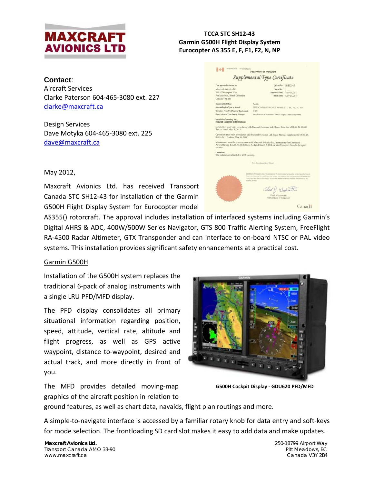# **MAXCRAFT AVIONICS LTD**

# **TCCA STC SH12-43 Garmin G500H Flight Display System Eurocopter AS 355 E, F, F1, F2, N, NP**

**Contact**: Aircraft Services Clarke Paterson 604-465-3080 ext. 227 [clarke@maxcraft.ca](mailto:clarke@maxcraft.ca)

Design Services Dave Motyka 604-465-3080 ext. 225 [dave@maxcraft.ca](mailto:dave@maxcraft.ca)

#### **The Secret County The month County** a<br>Department of Transport Supplemental Type Certificate This approval is issued to: Number: SH12-43 Maxeraft Aviceses Ltd.<br>250-18799 Airport Way<br>Pitt Meadows, British Coli<br>Carada V3Y 2B4 May 23, 2012 May 23, 2012 Aircraft/Engine Type or Model: EUROCOPTER FRANCE AS \$55 F. F. Ft. F2. N. NP Canadian Tyne Certificate or Fossivatent: 15.87 Description of Type Design Change: Installation/Operating Data,<br>Required Equipment and Limitations: on must be in accordance with Maxeraft Avionics Ltd. Master Data List MDL-05-70-00-053<br>Jated May 18, 2012\*. .<br>must be in accordance with Maxcraft Avionics Ltd. Flight Marsual Supplem<br>A. dated May 18, 2012\*. must be in accordance with Maxcraft Avionics Ltd. In<br>sc K"A-05-70-00-053 Rev. A. dated March 8, 2012, or la Limitations:<br>The installation is limited to VFR use only Sau Courtier Chad ). Woodworth Chad Woodworth Canadä

G500H Flight Display System for Eurocopter model AS355() rotorcraft. The approval includes installation of interfaced systems including Garmin's Digital AHRS & ADC, 400W/500W Series Navigator, GTS 800 Traffic Alerting System, FreeFlight RA-4500 Radar Altimeter, GTX Transponder and can interface to on-board NTSC or PAL video systems. This installation provides significant safety enhancements at a practical cost.

# Garmin G500H

May 2012,

Installation of the G500H system replaces the traditional 6-pack of analog instruments with a single LRU PFD/MFD display.

Maxcraft Avionics Ltd. has received Transport Canada STC SH12-43 for installation of the Garmin

The PFD display consolidates all primary situational information regarding position, speed, attitude, vertical rate, altitude and flight progress, as well as GPS active waypoint, distance to-waypoint, desired and actual track, and more directly in front of you.

The MFD provides detailed moving-map graphics of the aircraft position in relation to

**G500H Cockpit Display - GDU620 PFD/MFD**

ground features, as well as chart data, navaids, flight plan routings and more.

A simple-to-navigate interface is accessed by a familiar rotary knob for data entry and soft-keys for mode selection. The frontloading SD card slot makes it easy to add data and make updates.

**Maxcraft Avionics Ltd.** Transport Canada AMO 33-90 www.maxcraft.ca

250-18799 Airport Way Pitt Meadows, BC Canada V3Y 2B4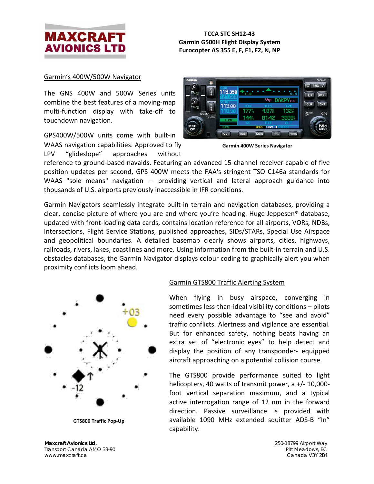

#### **TCCA STC SH12-43 Garmin G500H Flight Display System Eurocopter AS 355 E, F, F1, F2, N, NP**

#### Garmin's 400W/500W Navigator

The GNS 400W and 500W Series units combine the best features of a moving-map multi-function display with take-off to touchdown navigation.

GPS400W/500W units come with built-in WAAS navigation capabilities. Approved to fly LPV "glideslope" approaches without



**Garmin 400W Series Navigator**

reference to ground-based navaids. Featuring an advanced 15-channel receiver capable of five position updates per second, GPS 400W meets the FAA's stringent TSO C146a standards for WAAS "sole means" navigation — providing vertical and lateral approach guidance into thousands of U.S. airports previously inaccessible in IFR conditions.

Garmin Navigators seamlessly integrate built-in terrain and navigation databases, providing a clear, concise picture of where you are and where you're heading. Huge Jeppesen® database, updated with front-loading data cards, contains location reference for all airports, VORs, NDBs, Intersections, Flight Service Stations, published approaches, SIDs/STARs, Special Use Airspace and geopolitical boundaries. A detailed basemap clearly shows airports, cities, highways, railroads, rivers, lakes, coastlines and more. Using information from the built-in terrain and U.S. obstacles databases, the Garmin Navigator displays colour coding to graphically alert you when proximity conflicts loom ahead.



**GTS800 Traffic Pop-Up**

Garmin GTS800 Traffic Alerting System

When flying in busy airspace, converging in sometimes less-than-ideal visibility conditions – pilots need every possible advantage to "see and avoid" traffic conflicts. Alertness and vigilance are essential. But for enhanced safety, nothing beats having an extra set of "electronic eyes" to help detect and display the position of any transponder- equipped aircraft approaching on a potential collision course.

The GTS800 provide performance suited to light helicopters, 40 watts of transmit power, a +/- 10,000 foot vertical separation maximum, and a typical active interrogation range of 12 nm in the forward direction. Passive surveillance is provided with available 1090 MHz extended squitter ADS-B "In" capability.

**Maxcraft Avionics Ltd.** Transport Canada AMO 33-90 www.maxcraft.ca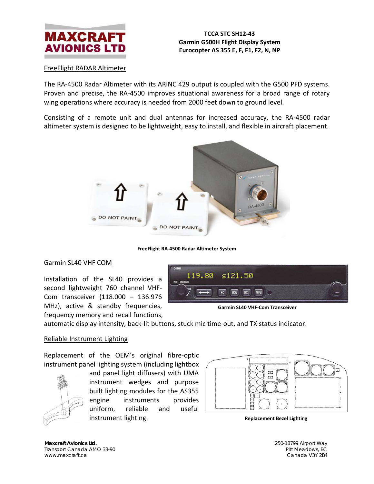

**TCCA STC SH12-43 Garmin G500H Flight Display System Eurocopter AS 355 E, F, F1, F2, N, NP**

#### FreeFlight RADAR Altimeter

The RA-4500 Radar Altimeter with its ARINC 429 output is coupled with the G500 PFD systems. Proven and precise, the RA-4500 improves situational awareness for a broad range of rotary wing operations where accuracy is needed from 2000 feet down to ground level.

Consisting of a remote unit and dual antennas for increased accuracy, the RA-4500 radar altimeter system is designed to be lightweight, easy to install, and flexible in aircraft placement.



**FreeFlight RA-4500 Radar Altimeter System**

# Garmin SL40 VHF COM

Installation of the SL40 provides a second lightweight 760 channel VHF-Com transceiver (118.000 – 136.976 MHz), active & standby frequencies, frequency memory and recall functions,



**Garmin SL40 VHF-Com Transceiver**

automatic display intensity, back-lit buttons, stuck mic time-out, and TX status indicator.

#### Reliable Instrument Lighting

Replacement of the OEM's original fibre-optic instrument panel lighting system (including lightbox

and panel light diffusers) with UMA instrument wedges and purpose built lighting modules for the AS355 engine instruments provides uniform, reliable and useful instrument lighting.



**Replacement Bezel Lighting**

**Maxcraft Avionics Ltd.** Transport Canada AMO 33-90 www.maxcraft.ca

250-18799 Airport Way Pitt Meadows, BC Canada V3Y 2B4